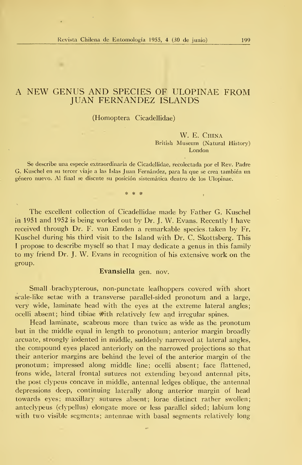# A NEW GENUS AND SPECIES OF ULOPINAE FROM JUAN FERNANDEZ ISLANDS

### (Homoptera Cicadellidae)

#### W. E. China British Museum (Natural History) London

Se describe una especie extraordinaria de Cicadellidae, recolectada por el Rev. Padre G. Kuschel en su tercer viaje a las Islas Juan Fernández, para la que se crea también un género nuevo. Al final se discute su posición sistemática dentro de los Ulopinae.

sk sk ste

The excellent collection of Cicadellidae made by Father G. Kuschel in 1951 and 1952 is being worked out by Dr. J. W. Evans. Recently <sup>I</sup> have received through Dr. F. van Emden a remarkable species taken by Fr. Kuschel during his third visit to the Island with Dr. C. Skottsberg. This <sup>I</sup> propose to describe myself so that <sup>I</sup>may dedícate a genus in this family to my friend Dr. J. W. Evans in recognition of his extensive work on the group.

## Evansiella gen. nov.

Small brachypterous, non-punctate leafhoppers covered with short scale-like setae with a transverse parallel-sided pronotum and a large, very wide, lamínate head with the eyes at the extreme lateral angles; ocelli absent; hind tibiae with relatively few and irregular spines.

Head lamínate, scabrous more than twice as wide as the pronotum but in the middle equal in length to pronotum; anterior margín broadly arcuate, strongly indented in middle, suddenly narrowed at lateral angles, the compound eyes placed anteriorly on the narrowed projections so that theír anterior margins are behind the level of the anterior margin of the pronotum; ímpressed along middle line; ocelli absent; face flattened, frons wide, lateral frontal sutures not extending beyond antennal pits, the post clypeus concave in middle, antennal ledges oblique, the antennal depressions deep, continuing laterally along anterior margin of head towards eyes; maxillary sutures absent; lorae distinct rather swollen; anteclypeus (clypellus) elongate more or less parallel sided; labium long with two visible segments; antennae with basal segments relatively long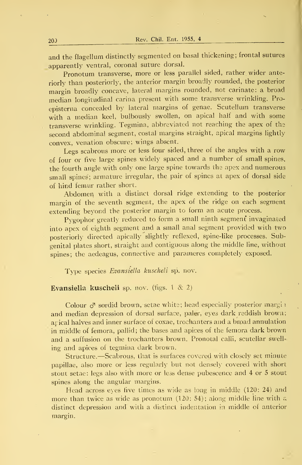and the flagellum distinctly segmented on basal thickening; frontal sutures apparently ventral, coronal suture dorsal.

Pronotum transverse, more or less parallel sided, rather wider anteriorly than posteriorly, the anterior margin broadly rounded, the posterior margin broadly concave, lateral margins rounded, not carínate: <sup>a</sup> broad median longitudinal carina present with some transverse wrinkling. Proepisterna concealed by lateral margins of genae. Scutellum transverse with a median keel, bulbously swollen, on apical half and with some transverse wrinkling. Tegmina, abbreviated not reaching the apex of the second abdominal segment, costal margins straight, apical margins lightly convex, venation obscure; wings absent.

Legs scabrous more or less four sided, three of the angles with a row of four or five large spines widely spaced and <sup>a</sup> number of small spines. the fourth angle with only one large spine towards the apex and numerous small spines; armature irregular, the pair of spines at apex of dorsal side of hind fémur rather short.

Abdomen with a distinct dorsal ridge extending to the posterior margin of the seventh segment, the apex of the ridge on each segment extending beyond the posterior margin to form an acute process.

Pygophor greatly reduced to form a small ninth segment invaginated into apex of eighth segment and a small anal segment provided with two posteriorly directed apically slightly reflexed, spine-like processes. Subgenital plates short, straight and contiguous along the middle line, without spines; the aedeagus, connective and parameres completely exposed.

Type species Evansiella kuschelí sp. nov.

## Evansiella kuscheli sp. nov. (figs. <sup>1</sup> & 2)

Colour  $\sigma$  sordid brown, setae white; head especially posterior margin and median depression of dorsal surface, paler, eyes dark reddish brown; arical halves and inner surface of coxae, trochanters and a broad annulation in middle of femora, pallid; the bases and ápices of the femora dark brown and a suffusión on the trochanters brown. Pronotal calli, scutellar swell ing and ápices of tegmina dark brown.

Structure.—Scabrous, that is surfaces covered with closely set minute papillae, also more or less regularly but not densely covered with short stout setae: legs also with more or less dense pubescence and 4 or <sup>5</sup> stout spines along the angular margins.

Head across eyes five times as wide as long in middle (120: 24) and more than twice as wide as pronotum  $(120: 54)$ ; along middle line with a distinct depression and with a distinct indentation in middle of anterior margin.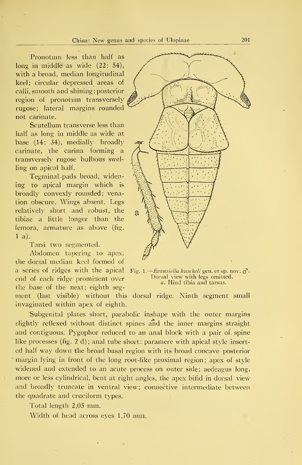Pronotum less than half as long in middle as wide (22: 54), with a broad, median longitudinal keel; circular depressed areas of calli, smooth and shining; posterior región of pronotum transversely rugóse; lateral margins rounded not carínate.

Scutellum transverse less than half as long in middle as wide at base (14: 34), medially broadly carínate, the carina forming a transversely rugose bulbous swelling on apical half.

Tegminal pads broad, widening to apical margin which is broadly convexly rounded; venation obscure. Wings absent. Legs relatively short and robust, the a tibiae a little longer than the femora, armature as above (fig. 1 a).

Tarsi two segmented.

Abdomen tapering to apex. ihe dorsal median keel formed of a series of ridges with the apical end of each ridge promiríent over tlie base oí the next; eighth seg-

ment (last visible) without this dorsal ridge. Ninth segment small invaginated within apex of eighth.

Subgenital plates short, parabolic inshape with the outer margins slightly reflexed without distinct spines and the inner- margins straight and contiguous. Pygophor reduced to an anal block with a pair of spine like processes (fig. 2 d); anal tube short: paramere with apical style inserted half way down the broad basal región with its broad concave posterior margin lying in front of the long root-like proximal región; apex of style widened and extended to an acute process on outer side; aedeagus long, more or less cylindrical, bent at right angles, the apex bifid in dorsal view and broadly truncate in ventral view; connective intermediate between the quadrate and cruciform types.

Total length 2,05 mm.

Width of head across eyes 1,70 mm.



1.—Evansiella kuscheli gen. et sp. nov. o<sup>1</sup>. Dorsal view with legs omitted. a. Hind tibia and tarsus.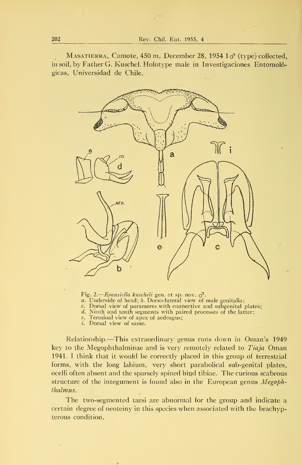MASATIERRA, Camote, 450 m, December 28, 1954  $1\sigma$ <sup>{</sup> (type) collected, in soil, by Father G. Kuschel. Holotype male in Investigaciones Entomológicas, Universidad de Chile.



Fig. 2.—*Evansiella kuscheli* gen. et sp. nov. <sub>O</sub><sup>1</sup>.<br>a. Underside of head; b. Dorso-lateral view of male genitalia;

c. Dorsal view of parameres with connective and subgenital plates;

d. Ninth and tenth segments with paired processes of the latter;

e. Terminal view of apex of aedeagus;

i. Dorsal view of same.

Relationship.—This extraordinary genus runs down in Oman's <sup>1949</sup> key to the Megophthalminae and is very remotely related to *Tiaja* Oman 1941. <sup>I</sup> think that it would be correctly placed in this group of terrestrial forms, with the long labium, very short parabolical sub-genital plates, ocelli often absent and the sparsely spined hind tibiae. The curious scabrous structure of the integument is found also in the European genus *Megoph*thalmus.

The two-segmented tarsi are abnormal for the group and indícate a certain degree of neoteiny in this species vvhen associated with the brachypterous condition.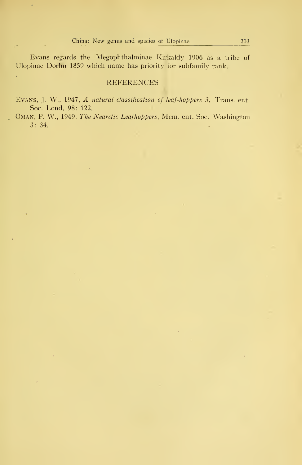ł,

Ŷ.

Evans regards the Megophthalminae Kirkaldy 1906 as a tribe of Ulopinae Dorhn 1859 which ñame has priority for subfamily rank.

## **REFERENCES**

Evans, J. W., 1947, A natural classification of leaf-hoppers 3, Trans. ent. Soc. Lond. 98: 122.

OMAN, P. W., 1949, The Nearctic Leafhoppers, Mem. ent. Soc. Washington 3: 34.